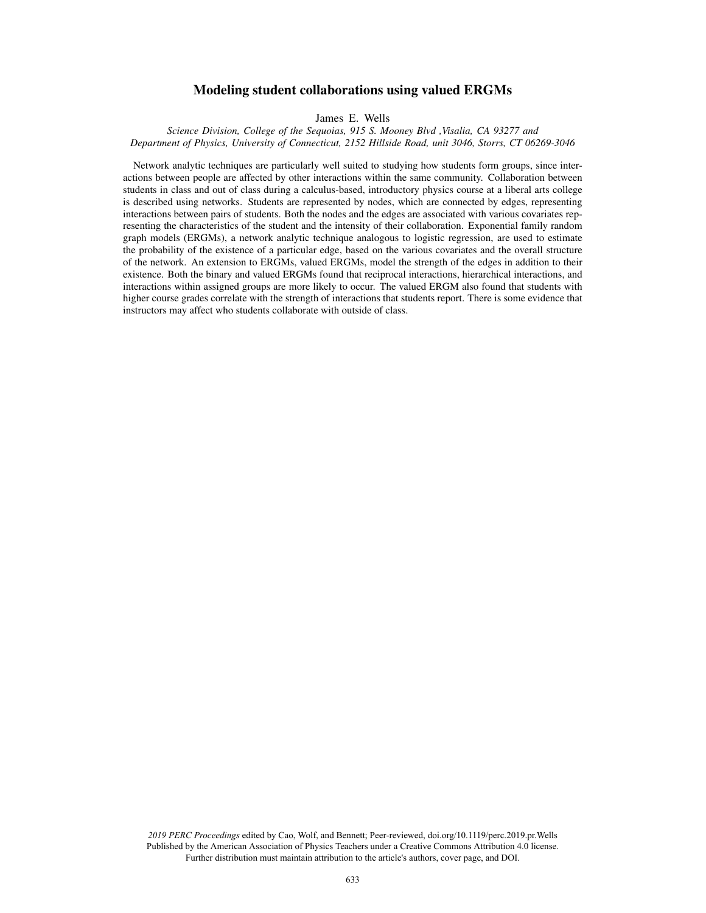# Modeling student collaborations using valued ERGMs

James E. Wells

*Science Division, College of the Sequoias, 915 S. Mooney Blvd ,Visalia, CA 93277 and Department of Physics, University of Connecticut, 2152 Hillside Road, unit 3046, Storrs, CT 06269-3046*

Network analytic techniques are particularly well suited to studying how students form groups, since interactions between people are affected by other interactions within the same community. Collaboration between students in class and out of class during a calculus-based, introductory physics course at a liberal arts college is described using networks. Students are represented by nodes, which are connected by edges, representing interactions between pairs of students. Both the nodes and the edges are associated with various covariates representing the characteristics of the student and the intensity of their collaboration. Exponential family random graph models (ERGMs), a network analytic technique analogous to logistic regression, are used to estimate the probability of the existence of a particular edge, based on the various covariates and the overall structure of the network. An extension to ERGMs, valued ERGMs, model the strength of the edges in addition to their existence. Both the binary and valued ERGMs found that reciprocal interactions, hierarchical interactions, and interactions within assigned groups are more likely to occur. The valued ERGM also found that students with higher course grades correlate with the strength of interactions that students report. There is some evidence that instructors may affect who students collaborate with outside of class.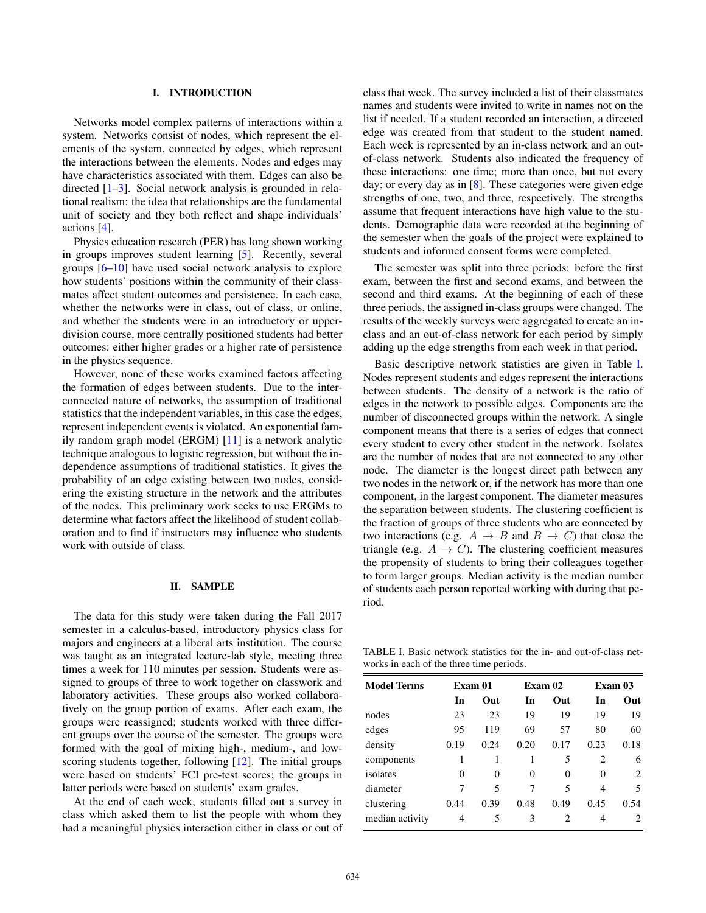## I. INTRODUCTION

Networks model complex patterns of interactions within a system. Networks consist of nodes, which represent the elements of the system, connected by edges, which represent the interactions between the elements. Nodes and edges may have characteristics associated with them. Edges can also be directed [1–3]. Social network analysis is grounded in relational realism: the idea that relationships are the fundamental unit of society and they both reflect and shape individuals' actions [4].

Physics education research (PER) has long shown working in groups improves student learning [5]. Recently, several groups [6–10] have used social network analysis to explore how students' positions within the community of their classmates affect student outcomes and persistence. In each case, whether the networks were in class, out of class, or online, and whether the students were in an introductory or upperdivision course, more centrally positioned students had better outcomes: either higher grades or a higher rate of persistence in the physics sequence.

However, none of these works examined factors affecting the formation of edges between students. Due to the interconnected nature of networks, the assumption of traditional statistics that the independent variables, in this case the edges, represent independent events is violated. An exponential family random graph model (ERGM) [11] is a network analytic technique analogous to logistic regression, but without the independence assumptions of traditional statistics. It gives the probability of an edge existing between two nodes, considering the existing structure in the network and the attributes of the nodes. This preliminary work seeks to use ERGMs to determine what factors affect the likelihood of student collaboration and to find if instructors may influence who students work with outside of class.

### II. SAMPLE

The data for this study were taken during the Fall 2017 semester in a calculus-based, introductory physics class for majors and engineers at a liberal arts institution. The course was taught as an integrated lecture-lab style, meeting three times a week for 110 minutes per session. Students were assigned to groups of three to work together on classwork and laboratory activities. These groups also worked collaboratively on the group portion of exams. After each exam, the groups were reassigned; students worked with three different groups over the course of the semester. The groups were formed with the goal of mixing high-, medium-, and lowscoring students together, following [12]. The initial groups were based on students' FCI pre-test scores; the groups in latter periods were based on students' exam grades.

At the end of each week, students filled out a survey in class which asked them to list the people with whom they had a meaningful physics interaction either in class or out of class that week. The survey included a list of their classmates names and students were invited to write in names not on the list if needed. If a student recorded an interaction, a directed edge was created from that student to the student named. Each week is represented by an in-class network and an outof-class network. Students also indicated the frequency of these interactions: one time; more than once, but not every day; or every day as in [8]. These categories were given edge strengths of one, two, and three, respectively. The strengths assume that frequent interactions have high value to the students. Demographic data were recorded at the beginning of the semester when the goals of the project were explained to students and informed consent forms were completed.

The semester was split into three periods: before the first exam, between the first and second exams, and between the second and third exams. At the beginning of each of these three periods, the assigned in-class groups were changed. The results of the weekly surveys were aggregated to create an inclass and an out-of-class network for each period by simply adding up the edge strengths from each week in that period.

Basic descriptive network statistics are given in Table [I.](#page-1-0) Nodes represent students and edges represent the interactions between students. The density of a network is the ratio of edges in the network to possible edges. Components are the number of disconnected groups within the network. A single component means that there is a series of edges that connect every student to every other student in the network. Isolates are the number of nodes that are not connected to any other node. The diameter is the longest direct path between any two nodes in the network or, if the network has more than one component, in the largest component. The diameter measures the separation between students. The clustering coefficient is the fraction of groups of three students who are connected by two interactions (e.g.  $A \rightarrow B$  and  $B \rightarrow C$ ) that close the triangle (e.g.  $A \rightarrow C$ ). The clustering coefficient measures the propensity of students to bring their colleagues together to form larger groups. Median activity is the median number of students each person reported working with during that period.

<span id="page-1-0"></span>TABLE I. Basic network statistics for the in- and out-of-class networks in each of the three time periods.

| <b>Model Terms</b> | Exam 01 |      |      | Exam 02  | Exam 03 |      |
|--------------------|---------|------|------|----------|---------|------|
|                    | In      | Out  | In   | Out      | In      | Out  |
| nodes              | 23      | 23   | 19   | 19       | 19      | 19   |
| edges              | 95      | 119  | 69   | 57       | 80      | 60   |
| density            | 0.19    | 0.24 | 0.20 | 0.17     | 0.23    | 0.18 |
| components         | 1       |      |      | 5        | 2       | 6    |
| isolates           | 0       | 0    | 0    | $\Omega$ | 0       | 2    |
| diameter           | 7       | 5    |      | 5        | 4       | 5    |
| clustering         | 0.44    | 0.39 | 0.48 | 0.49     | 0.45    | 0.54 |
| median activity    | 4       | 5    | 3    | 2        | 4       |      |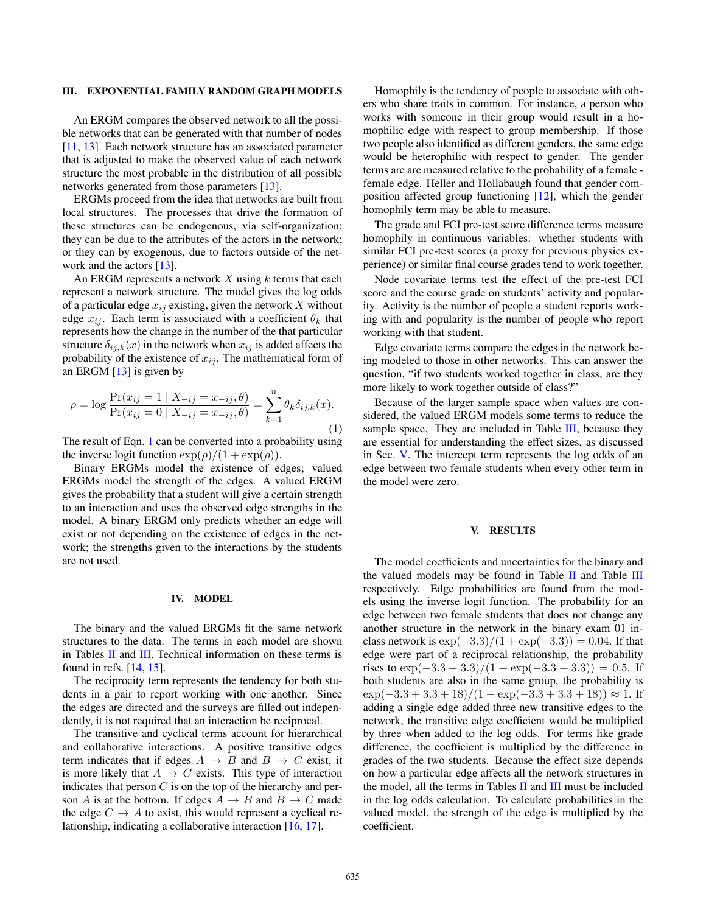#### III. EXPONENTIAL FAMILY RANDOM GRAPH MODELS

An ERGM compares the observed network to all the possible networks that can be generated with that number of nodes [11, 13]. Each network structure has an associated parameter that is adjusted to make the observed value of each network structure the most probable in the distribution of all possible networks generated from those parameters [13].

ERGMs proceed from the idea that networks are built from local structures. The processes that drive the formation of these structures can be endogenous, via self-organization; they can be due to the attributes of the actors in the network; or they can by exogenous, due to factors outside of the network and the actors [13].

An ERGM represents a network  $X$  using  $k$  terms that each represent a network structure. The model gives the log odds of a particular edge  $x_{ij}$  existing, given the network X without edge  $x_{ij}$ . Each term is associated with a coefficient  $\theta_k$  that represents how the change in the number of the that particular structure  $\delta_{ij,k}(x)$  in the network when  $x_{ij}$  is added affects the probability of the existence of  $x_{ij}$ . The mathematical form of an ERGM [13] is given by

<span id="page-2-0"></span>
$$
\rho = \log \frac{\Pr(x_{ij} = 1 \mid X_{-ij} = x_{-ij}, \theta)}{\Pr(x_{ij} = 0 \mid X_{-ij} = x_{-ij}, \theta)} = \sum_{k=1}^{n} \theta_k \delta_{ij,k}(x).
$$
\n(1)

The result of Eqn. [1](#page-2-0) can be converted into a probability using the inverse logit function  $\exp(\rho)/(1 + \exp(\rho)).$ 

Binary ERGMs model the existence of edges; valued ERGMs model the strength of the edges. A valued ERGM gives the probability that a student will give a certain strength to an interaction and uses the observed edge strengths in the model. A binary ERGM only predicts whether an edge will exist or not depending on the existence of edges in the network; the strengths given to the interactions by the students are not used.

#### IV. MODEL

The binary and the valued ERGMs fit the same network structures to the data. The terms in each model are shown in Tables II and III. Technical information on these terms is found in refs. [14, 15].

The reciprocity term represents the tendency for both students in a pair to report working with one another. Since the edges are directed and the surveys are filled out independently, it is not required that an interaction be reciprocal.

The transitive and cyclical terms account for hierarchical and collaborative interactions. A positive transitive edges term indicates that if edges  $A \rightarrow B$  and  $B \rightarrow C$  exist, it is more likely that  $A \rightarrow C$  exists. This type of interaction indicates that person  $C$  is on the top of the hierarchy and person A is at the bottom. If edges  $A \rightarrow B$  and  $B \rightarrow C$  made the edge  $C \rightarrow A$  to exist, this would represent a cyclical relationship, indicating a collaborative interaction [16, 17].

Homophily is the tendency of people to associate with others who share traits in common. For instance, a person who works with someone in their group would result in a homophilic edge with respect to group membership. If those two people also identified as different genders, the same edge would be heterophilic with respect to gender. The gender terms are are measured relative to the probability of a female female edge. Heller and Hollabaugh found that gender composition affected group functioning [12], which the gender homophily term may be able to measure.

The grade and FCI pre-test score difference terms measure homophily in continuous variables: whether students with similar FCI pre-test scores (a proxy for previous physics experience) or similar final course grades tend to work together.

Node covariate terms test the effect of the pre-test FCI score and the course grade on students' activity and popularity. Activity is the number of people a student reports working with and popularity is the number of people who report working with that student.

Edge covariate terms compare the edges in the network being modeled to those in other networks. This can answer the question, "if two students worked together in class, are they more likely to work together outside of class?"

Because of the larger sample space when values are considered, the valued ERGM models some terms to reduce the sample space. They are included in Table  $III$ , because they are essential for understanding the effect sizes, as discussed in Sec. [V.](#page-2-1) The intercept term represents the log odds of an edge between two female students when every other term in the model were zero.

### <span id="page-2-1"></span>V. RESULTS

The model coefficients and uncertainties for the binary and the valued models may be found in Table  $II$  and Table  $III$ respectively. Edge probabilities are found from the models using the inverse logit function. The probability for an edge between two female students that does not change any another structure in the network in the binary exam 01 inclass network is  $\exp(-3.3)/(1 + \exp(-3.3)) = 0.04$ . If that edge were part of a reciprocal relationship, the probability rises to  $\exp(-3.3 + 3.3)/(1 + \exp(-3.3 + 3.3)) = 0.5$ . If both students are also in the same group, the probability is  $\exp(-3.3 + 3.3 + 18)/(1 + \exp(-3.3 + 3.3 + 18)) \approx 1$ . If adding a single edge added three new transitive edges to the network, the transitive edge coefficient would be multiplied by three when added to the log odds. For terms like grade difference, the coefficient is multiplied by the difference in grades of the two students. Because the effect size depends on how a particular edge affects all the network structures in the model, all the terms in Tables  $II$  and  $III$  must be included in the log odds calculation. To calculate probabilities in the valued model, the strength of the edge is multiplied by the coefficient.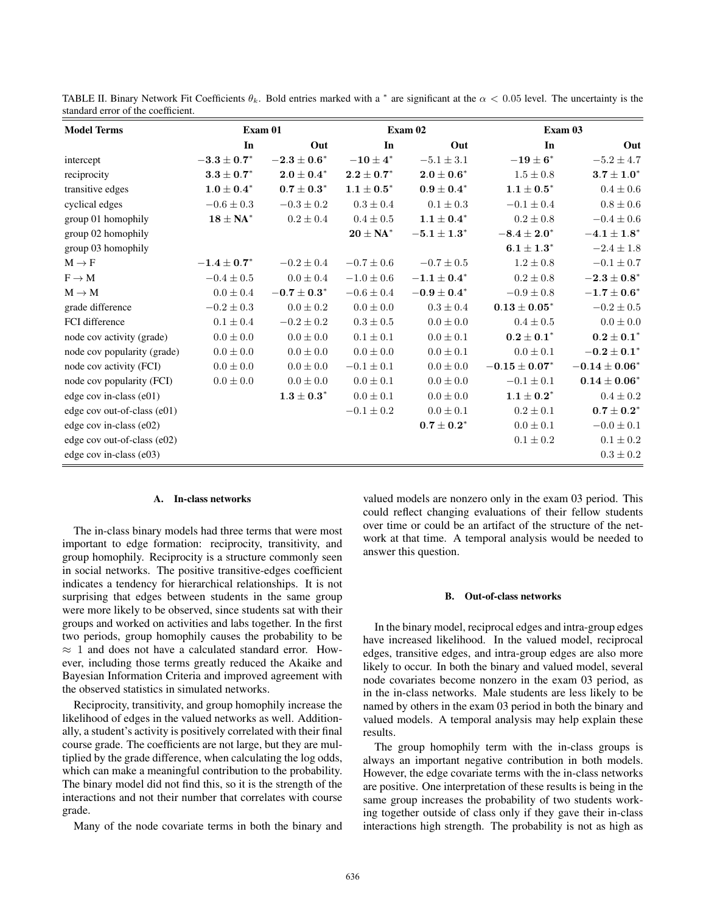| <b>Model Terms</b>          | Exam 01                           |                                   |                 | Exam 02                           | Exam 03                           |                                   |
|-----------------------------|-----------------------------------|-----------------------------------|-----------------|-----------------------------------|-----------------------------------|-----------------------------------|
|                             | In                                | Out                               | In              | Out                               | In                                | Out                               |
| intercept                   | $-3.3\pm0.7^*$                    | $\bf -2.3\pm0.6^*$                | $-10\pm4"$      | $-5.1 \pm 3.1$                    | $-19\pm6^\ast$                    | $-5.2\pm4.7$                      |
| reciprocity                 | $\textbf{3.3} \pm \textbf{0.7}^*$ | $2.0\pm0.4^*$                     | $2.2\pm0.7^*$   | $\textbf{2.0} \pm \textbf{0.6}^*$ | $1.5 \pm 0.8$                     | $\textbf{3.7} \pm \textbf{1.0}^*$ |
| transitive edges            | $1.0 \pm 0.4^*$                   | $0.7\pm0.3^*$                     | $1.1 \pm 0.5^*$ | $0.9 \pm 0.4^*$                   | $1.1 \pm 0.5^{*}$                 | $0.4 \pm 0.6$                     |
| cyclical edges              | $-0.6 \pm 0.3$                    | $-0.3 \pm 0.2$                    | $0.3 \pm 0.4$   | $0.1 \pm 0.3$                     | $-0.1 \pm 0.4$                    | $0.8\pm0.6$                       |
| group 01 homophily          | $\mathbf{18} \pm \mathbf{NA}^*$   | $0.2 \pm 0.4$                     | $0.4 \pm 0.5$   | $\textbf{1.1} \pm \textbf{0.4}^*$ | $0.2 \pm 0.8$                     | $-0.4 \pm 0.6$                    |
| group 02 homophily          |                                   |                                   | $20 \pm NA^*$   | $-5.1 \pm 1.3^*$                  | $-8.4\pm2.0^*$                    | $-4.1 \pm 1.8^*$                  |
| group 03 homophily          |                                   |                                   |                 |                                   | $\textbf{6.1} \pm \textbf{1.3}^*$ | $-2.4 \pm 1.8$                    |
| $M \rightarrow F$           | $-1.4 \pm 0.7^*$                  | $-0.2 \pm 0.4$                    | $-0.7 \pm 0.6$  | $-0.7 \pm 0.5$                    | $1.2 \pm 0.8$                     | $-0.1 \pm 0.7$                    |
| $F \rightarrow M$           | $-0.4 \pm 0.5$                    | $0.0 \pm 0.4$                     | $-1.0 \pm 0.6$  | $-1.1\pm0.4^*$                    | $0.2 \pm 0.8$                     | $\bf -2.3\pm0.8^*$                |
| $M \rightarrow M$           | $0.0 \pm 0.4$                     | $-0.7\pm0.3^*$                    | $-0.6 \pm 0.4$  | $-0.9\pm0.4^*$                    | $-0.9 \pm 0.8$                    | $\bf -1.7\pm0.6^*$                |
| grade difference            | $-0.2\pm0.3$                      | $0.0 \pm 0.2$                     | $0.0 \pm 0.0$   | $0.3 \pm 0.4$                     | $0.13 \pm 0.05^{*}$               | $-0.2 \pm 0.5$                    |
| FCI difference              | $0.1 \pm 0.4$                     | $-0.2 \pm 0.2$                    | $0.3 \pm 0.5$   | $0.0 \pm 0.0$                     | $0.4 \pm 0.5$                     | $0.0\pm0.0$                       |
| node cov activity (grade)   | $0.0 \pm 0.0$                     | $0.0 \pm 0.0$                     | $0.1 \pm 0.1$   | $0.0 \pm 0.1$                     | $0.2\pm0.1^*$                     | $\textbf{0.2}\pm\textbf{0.1}^{*}$ |
| node cov popularity (grade) | $0.0 \pm 0.0$                     | $0.0\pm0.0$                       | $0.0 \pm 0.0$   | $0.0 \pm 0.1$                     | $0.0 \pm 0.1$                     | $-0.2\pm0.1^*$                    |
| node cov activity (FCI)     | $0.0 \pm 0.0$                     | $0.0 \pm 0.0$                     | $-0.1 \pm 0.1$  | $0.0 \pm 0.0$                     | $-0.15\pm0.07^{*}$                | $-0.14 \pm 0.06^{*}$              |
| node cov popularity (FCI)   | $0.0 \pm 0.0$                     | $0.0\pm0.0$                       | $0.0 \pm 0.1$   | $0.0 \pm 0.0$                     | $-0.1 \pm 0.1$                    | $0.14 \pm 0.06^*$                 |
| edge cov in-class (e01)     |                                   | $\textbf{1.3} \pm \textbf{0.3}^*$ | $0.0\pm0.1$     | $0.0\pm0.0$                       | $1.1 \pm 0.2^*$                   | $0.4\pm0.2$                       |
| edge cov out-of-class (e01) |                                   |                                   | $-0.1 \pm 0.2$  | $0.0 \pm 0.1$                     | $0.2 \pm 0.1$                     | $0.7\pm0.2^*$                     |
| edge cov in-class (e02)     |                                   |                                   |                 | $0.7\pm0.2^*$                     | $0.0 \pm 0.1$                     | $-0.0 \pm 0.1$                    |
| edge cov out-of-class (e02) |                                   |                                   |                 |                                   | $0.1 \pm 0.2$                     | $0.1 \pm 0.2$                     |
| edge cov in-class (e03)     |                                   |                                   |                 |                                   |                                   | $0.3\pm0.2$                       |

TABLE II. Binary Network Fit Coefficients  $\theta_k$ . Bold entries marked with a  $^*$  are significant at the  $\alpha < 0.05$  level. The uncertainty is the standard error of the coefficient.

#### A. In-class networks

The in-class binary models had three terms that were most important to edge formation: reciprocity, transitivity, and group homophily. Reciprocity is a structure commonly seen in social networks. The positive transitive-edges coefficient indicates a tendency for hierarchical relationships. It is not surprising that edges between students in the same group were more likely to be observed, since students sat with their groups and worked on activities and labs together. In the first two periods, group homophily causes the probability to be  $\approx$  1 and does not have a calculated standard error. However, including those terms greatly reduced the Akaike and Bayesian Information Criteria and improved agreement with the observed statistics in simulated networks.

Reciprocity, transitivity, and group homophily increase the likelihood of edges in the valued networks as well. Additionally, a student's activity is positively correlated with their final course grade. The coefficients are not large, but they are multiplied by the grade difference, when calculating the log odds, which can make a meaningful contribution to the probability. The binary model did not find this, so it is the strength of the interactions and not their number that correlates with course grade.

Many of the node covariate terms in both the binary and

valued models are nonzero only in the exam 03 period. This could reflect changing evaluations of their fellow students over time or could be an artifact of the structure of the network at that time. A temporal analysis would be needed to answer this question.

## B. Out-of-class networks

In the binary model, reciprocal edges and intra-group edges have increased likelihood. In the valued model, reciprocal edges, transitive edges, and intra-group edges are also more likely to occur. In both the binary and valued model, several node covariates become nonzero in the exam 03 period, as in the in-class networks. Male students are less likely to be named by others in the exam 03 period in both the binary and valued models. A temporal analysis may help explain these results.

The group homophily term with the in-class groups is always an important negative contribution in both models. However, the edge covariate terms with the in-class networks are positive. One interpretation of these results is being in the same group increases the probability of two students working together outside of class only if they gave their in-class interactions high strength. The probability is not as high as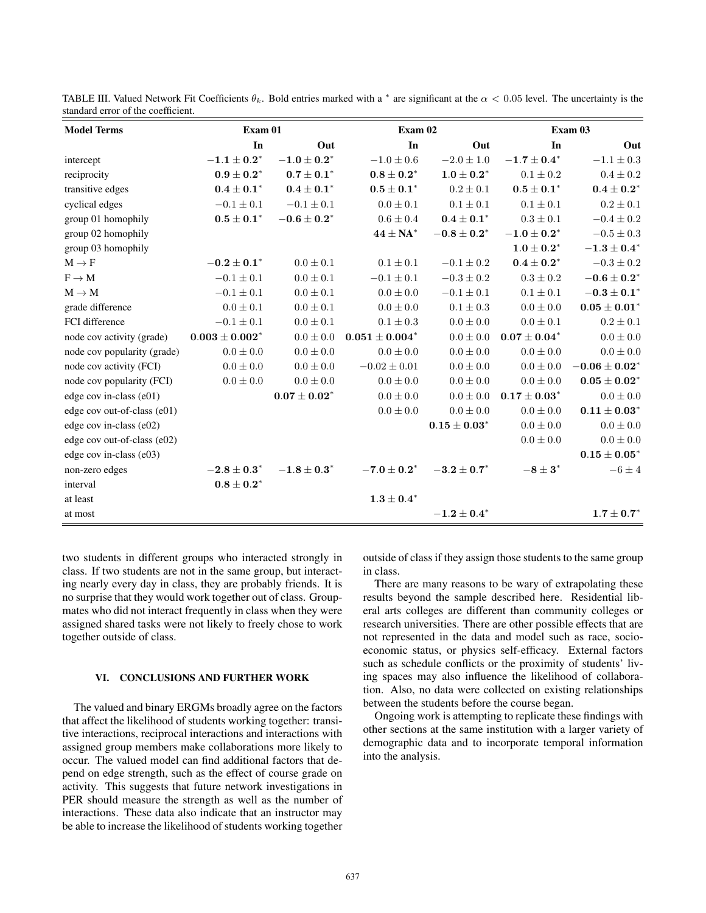| anuaru cifor of the cocfficient.<br><b>Model Terms</b> | Exam 01                           |                   | Exam 02                           |                     | Exam 03                           |                                   |
|--------------------------------------------------------|-----------------------------------|-------------------|-----------------------------------|---------------------|-----------------------------------|-----------------------------------|
|                                                        | In                                | Out               | In                                | Out                 | In                                | Out                               |
| intercept                                              | $-1.1\pm0.2^*$                    | $-1.0\pm0.2^*$    | $-1.0 \pm 0.6$                    | $-2.0 \pm 1.0$      | $-1.7\pm0.4^*$                    | $-1.1 \pm 0.3$                    |
| reciprocity                                            | $\mathbf{0.9} \pm \mathbf{0.2}^*$ | $0.7 \pm 0.1^*$   | $\mathbf{0.8} \pm \mathbf{0.2}^*$ | $1.0 \pm 0.2^*$     | $0.1 \pm 0.2$                     | $0.4 \pm 0.2$                     |
|                                                        |                                   |                   |                                   |                     |                                   |                                   |
| transitive edges                                       | $0.4\pm0.1^*$                     | $0.4 \pm 0.1^*$   | $0.5\pm0.1^*$                     | $0.2 \pm 0.1$       | $\mathbf{0.5} \pm \mathbf{0.1}^*$ | $\textbf{0.4} \pm \textbf{0.2}^*$ |
| cyclical edges                                         | $-0.1 \pm 0.1$                    | $-0.1 \pm 0.1$    | $0.0 \pm 0.1$                     | $0.1\pm0.1$         | $0.1 \pm 0.1$                     | $0.2 \pm 0.1$                     |
| group 01 homophily                                     | $\mathbf{0.5} \pm \mathbf{0.1}^*$ | $\bf-0.6\pm0.2^*$ | $0.6 \pm 0.4$                     | $0.4 \pm 0.1^{*}$   | $0.3 \pm 0.1$                     | $-0.4 \pm 0.2$                    |
| group 02 homophily                                     |                                   |                   | $44\pm$ NA*                       | $-0.8\pm0.2^*$      | $-1.0\pm0.2^*$                    | $-0.5\pm0.3$                      |
| group 03 homophily                                     |                                   |                   |                                   |                     | $1.0 \pm 0.2^*$                   | $\mathbf{-1.3} \pm 0.4^*$         |
| $M \to F$                                              | $-0.2\pm0.1^*$                    | $0.0 \pm 0.1$     | $0.1 \pm 0.1$                     | $-0.1 \pm 0.2$      | $\mathbf{0.4} \pm \mathbf{0.2}^*$ | $-0.3 \pm 0.2$                    |
| $F \rightarrow M$                                      | $-0.1 \pm 0.1$                    | $0.0 \pm 0.1$     | $-0.1 \pm 0.1$                    | $-0.3 \pm 0.2$      | $0.3\pm0.2$                       | $-0.6\pm0.2^*$                    |
| $M\to M$                                               | $-0.1 \pm 0.1$                    | $0.0 \pm 0.1$     | $0.0 \pm 0.0$                     | $-0.1 \pm 0.1$      | $0.1 \pm 0.1$                     | $-0.3 \pm 0.1^{*}$                |
| grade difference                                       | $0.0 \pm 0.1$                     | $0.0 \pm 0.1$     | $0.0 \pm 0.0$                     | $0.1 \pm 0.3$       | $0.0 \pm 0.0$                     | $0.05 \pm 0.01^*$                 |
| FCI difference                                         | $-0.1 \pm 0.1$                    | $0.0 \pm 0.1$     | $0.1 \pm 0.3$                     | $0.0 \pm 0.0$       | $0.0 \pm 0.1$                     | $0.2 \pm 0.1$                     |
| node cov activity (grade)                              | $0.003 \pm 0.002^*$               | $0.0\pm0.0$       | $0.051 \pm 0.004^*$               | $0.0\pm0.0$         | $0.07\pm0.04^*$                   | $0.0 \pm 0.0$                     |
| node cov popularity (grade)                            | $0.0 \pm 0.0$                     | $0.0 \pm 0.0$     | $0.0 \pm 0.0$                     | $0.0\pm0.0$         | $0.0 \pm 0.0$                     | $0.0 \pm 0.0$                     |
| node cov activity (FCI)                                | $0.0 \pm 0.0$                     | $0.0 \pm 0.0$     | $-0.02 \pm 0.01$                  | $0.0\pm0.0$         | $0.0 \pm 0.0$                     | $-0.06 \pm 0.02^{*}$              |
| node cov popularity (FCI)                              | $0.0 \pm 0.0$                     | $0.0 \pm 0.0$     | $0.0 \pm 0.0$                     | $0.0 \pm 0.0$       | $0.0\pm0.0$                       | $0.05\pm0.02^*$                   |
| edge cov in-class (e01)                                |                                   | $0.07\pm0.02^*$   | $0.0 \pm 0.0$                     | $0.0\pm0.0$         | $0.17\pm0.03^*$                   | $0.0 \pm 0.0$                     |
| edge cov out-of-class (e01)                            |                                   |                   | $0.0 \pm 0.0$                     | $0.0 \pm 0.0$       | $0.0 \pm 0.0$                     | $0.11\pm0.03^*$                   |
| edge cov in-class (e02)                                |                                   |                   |                                   | $0.15 \pm 0.03^{*}$ | $0.0 \pm 0.0$                     | $0.0\pm0.0$                       |
| edge cov out-of-class (e02)                            |                                   |                   |                                   |                     | $0.0 \pm 0.0$                     | $0.0 \pm 0.0$                     |
| edge cov in-class (e03)                                |                                   |                   |                                   |                     |                                   | $0.15\pm0.05^*$                   |
| non-zero edges                                         | $-2.8\pm0.3^*$                    | $-1.8 \pm 0.3^*$  | $-7.0\pm0.2^*$                    | $-3.2\pm0.7^*$      | $-8\pm3^\ast$                     | $-6 \pm 4$                        |
| interval                                               | $\textbf{0.8} \pm \textbf{0.2}^*$ |                   |                                   |                     |                                   |                                   |
| at least                                               |                                   |                   | $1.3\pm0.4^*$                     |                     |                                   |                                   |
| at most                                                |                                   |                   |                                   | $-1.2\pm0.4^{*}$    |                                   | $1.7 \pm 0.7^{*}$                 |

TABLE III. Valued Network Fit Coefficients  $\theta_k$ . Bold entries marked with a  $^*$  are significant at the  $\alpha < 0.05$  level. The uncertainty is the standard error of the coefficient.

two students in different groups who interacted strongly in class. If two students are not in the same group, but interacting nearly every day in class, they are probably friends. It is no surprise that they would work together out of class. Groupmates who did not interact frequently in class when they were assigned shared tasks were not likely to freely chose to work together outside of class.

# VI. CONCLUSIONS AND FURTHER WORK

The valued and binary ERGMs broadly agree on the factors that affect the likelihood of students working together: transitive interactions, reciprocal interactions and interactions with assigned group members make collaborations more likely to occur. The valued model can find additional factors that depend on edge strength, such as the effect of course grade on activity. This suggests that future network investigations in PER should measure the strength as well as the number of interactions. These data also indicate that an instructor may be able to increase the likelihood of students working together outside of class if they assign those students to the same group in class.

There are many reasons to be wary of extrapolating these results beyond the sample described here. Residential liberal arts colleges are different than community colleges or research universities. There are other possible effects that are not represented in the data and model such as race, socioeconomic status, or physics self-efficacy. External factors such as schedule conflicts or the proximity of students' living spaces may also influence the likelihood of collaboration. Also, no data were collected on existing relationships between the students before the course began.

Ongoing work is attempting to replicate these findings with other sections at the same institution with a larger variety of demographic data and to incorporate temporal information into the analysis.